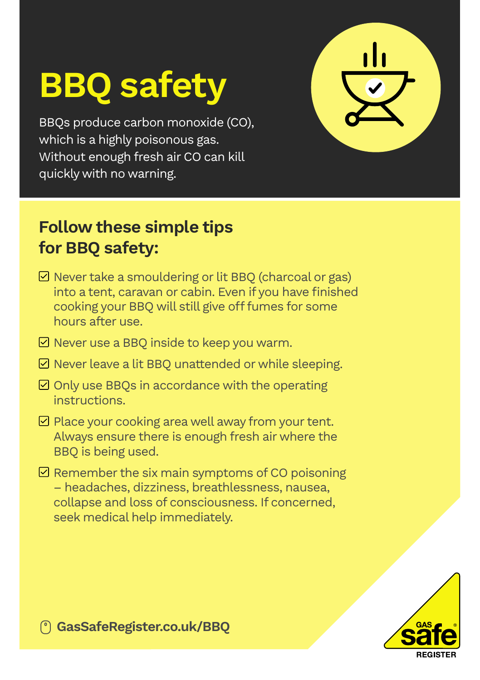## BBQ safety

BBQs produce carbon monoxide (CO), which is a highly poisonous gas. Without enough fresh air CO can kill quickly with no warning.

## Follow these simple tips for BBQ safety:

- $\boxdot$  Never take a smouldering or lit BBQ (charcoal or gas) into a tent, caravan or cabin. Even if you have finished cooking your BBQ will still give off fumes for some hours after use.
- $\boxdot$  Never use a BBO inside to keep you warm.
- $\boxdot$  Never leave a lit BBQ unattended or while sleeping.
- $\boxdot$  Only use BBOs in accordance with the operating **instructions**
- $\boxdot$  Place your cooking area well away from your tent. Always ensure there is enough fresh air where the BBQ is being used.
- $\boxdot$  Remember the six main symptoms of CO poisoning – headaches, dizziness, breathlessness, nausea, collapse and loss of consciousness. If concerned, seek medical help immediately.